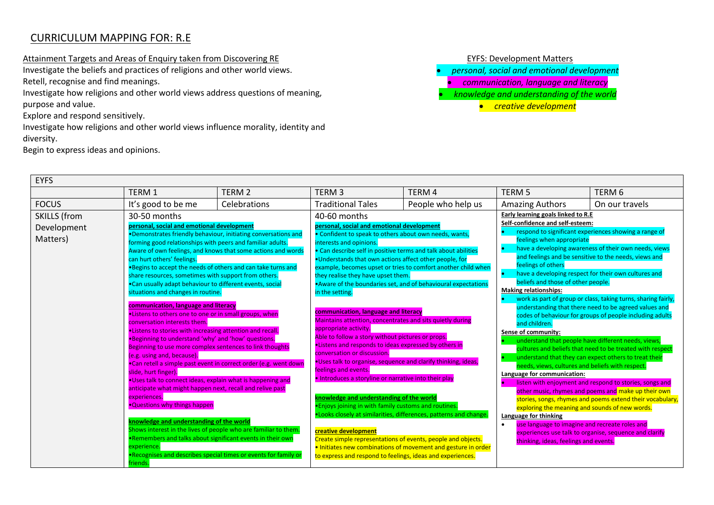## CURRICULUM MAPPING FOR: R.E

Attainment Targets and Areas of Enquiry taken from Discovering RE extending the state of the EYFS: Development Matters

Investigate the beliefs and practices of religions and other world views. Retell, recognise and find meanings.

Investigate how religions and other world views address questions of meaning, purpose and value.

Explore and respond sensitively.

 $E_{\text{E}}$ 

Investigate how religions and other world views influence morality, identity and diversity.

Begin to express ideas and opinions.

- *personal, social and emotional development*
- *communication, language and literacy*
- *knowledge and understanding of the world*
	- *creative development*

| EYFS                                           |                                                                                                                                                                                                                                                                                                                                                                                                                                                                                                                                                                                                                                                                                                                                                                                                                                                                                                                                                                                   |                                                                                                                                                                                                                                                                       |                                                                                                                                                                                                                                                                                                                                                                                                                                                                                                                                                                                                                                                                        |                                                                                                                                                                                                                                                                                                                                                                                                      |                                                                                                                                                                                                                                                                                                                                                                                                                                                                      |                                                                                                                                                                                                                                                                                                                                                                                                                                                                                                                                                                                                                                                                                                                                                                                   |
|------------------------------------------------|-----------------------------------------------------------------------------------------------------------------------------------------------------------------------------------------------------------------------------------------------------------------------------------------------------------------------------------------------------------------------------------------------------------------------------------------------------------------------------------------------------------------------------------------------------------------------------------------------------------------------------------------------------------------------------------------------------------------------------------------------------------------------------------------------------------------------------------------------------------------------------------------------------------------------------------------------------------------------------------|-----------------------------------------------------------------------------------------------------------------------------------------------------------------------------------------------------------------------------------------------------------------------|------------------------------------------------------------------------------------------------------------------------------------------------------------------------------------------------------------------------------------------------------------------------------------------------------------------------------------------------------------------------------------------------------------------------------------------------------------------------------------------------------------------------------------------------------------------------------------------------------------------------------------------------------------------------|------------------------------------------------------------------------------------------------------------------------------------------------------------------------------------------------------------------------------------------------------------------------------------------------------------------------------------------------------------------------------------------------------|----------------------------------------------------------------------------------------------------------------------------------------------------------------------------------------------------------------------------------------------------------------------------------------------------------------------------------------------------------------------------------------------------------------------------------------------------------------------|-----------------------------------------------------------------------------------------------------------------------------------------------------------------------------------------------------------------------------------------------------------------------------------------------------------------------------------------------------------------------------------------------------------------------------------------------------------------------------------------------------------------------------------------------------------------------------------------------------------------------------------------------------------------------------------------------------------------------------------------------------------------------------------|
|                                                | TERM 1                                                                                                                                                                                                                                                                                                                                                                                                                                                                                                                                                                                                                                                                                                                                                                                                                                                                                                                                                                            | TERM <sub>2</sub>                                                                                                                                                                                                                                                     | TERM <sub>3</sub>                                                                                                                                                                                                                                                                                                                                                                                                                                                                                                                                                                                                                                                      | TERM 4                                                                                                                                                                                                                                                                                                                                                                                               | <b>TERM 5</b>                                                                                                                                                                                                                                                                                                                                                                                                                                                        | TERM <sub>6</sub>                                                                                                                                                                                                                                                                                                                                                                                                                                                                                                                                                                                                                                                                                                                                                                 |
| <b>FOCUS</b>                                   | It's good to be me                                                                                                                                                                                                                                                                                                                                                                                                                                                                                                                                                                                                                                                                                                                                                                                                                                                                                                                                                                | Celebrations                                                                                                                                                                                                                                                          | <b>Traditional Tales</b>                                                                                                                                                                                                                                                                                                                                                                                                                                                                                                                                                                                                                                               | People who help us                                                                                                                                                                                                                                                                                                                                                                                   | <b>Amazing Authors</b>                                                                                                                                                                                                                                                                                                                                                                                                                                               | On our travels                                                                                                                                                                                                                                                                                                                                                                                                                                                                                                                                                                                                                                                                                                                                                                    |
| <b>SKILLS</b> (from<br>Development<br>Matters) | 30-50 months<br>personal, social and emotional development<br>forming good relationships with peers and familiar adults.<br>can hurt others' feelings.<br>.Begins to accept the needs of others and can take turns and<br>share resources, sometimes with support from others.<br>.Can usually adapt behaviour to different events, social<br>situations and changes in routine.<br>communication, language and literacy<br>.Listens to others one to one or in small groups, when<br>conversation interests them.<br>. Listens to stories with increasing attention and recall.<br>.Beginning to understand 'why' and 'how' questions.<br>Beginning to use more complex sentences to link thoughts<br>(e.g. using and, because).<br>slide, hurt finger).<br>.Uses talk to connect ideas, explain what is happening and<br>anticipate what might happen next, recall and relive past<br>experiences.<br>. Questions why things happen<br>knowledge and understanding of the world | •Demonstrates friendly behaviour, initiating conversations and<br>Aware of own feelings, and knows that some actions and words<br>.Can retell a simple past event in correct order (e.g. went down<br>Shows interest in the lives of people who are familiar to them. | 40-60 months<br>personal, social and emotional development<br>• Confident to speak to others about own needs, wants,<br>interests and opinions.<br>.Understands that own actions affect other people, for<br>they realise they have upset them.<br>in the setting.<br>communication, language and literacy<br>appropriate activity.<br>Able to follow a story without pictures or props.<br>.Listens and responds to ideas expressed by others in<br>conversation or discussion.<br>feelings and events.<br>. Introduces a storyline or narrative into their play<br>knowledge and understanding of the world<br>. Enjoys joining in with family customs and routines. | • Can describe self in positive terms and talk about abilities<br>example, becomes upset or tries to comfort another child when<br>•Aware of the boundaries set, and of behavioural expectations<br>Maintains attention, concentrates and sits quietly during<br>.Uses talk to organise, sequence and clarify thinking, ideas,<br>. Looks closely at similarities, differences, patterns and change. | Early learning goals linked to R.E<br>Self-confidence and self-esteem:<br>feelings when appropriate<br>feelings of others<br>beliefs and those of other people.<br><b>Making relationships:</b><br>and children.<br>Sense of community:<br>needs, views, cultures and beliefs with respect.<br>Language for communication:<br>exploring the meaning and sounds of new words.<br>Language for thinking<br>use language to imagine and recreate roles and<br>$\bullet$ | respond to significant experiences showing a range of<br>have a developing awareness of their own needs, views<br>and feelings and be sensitive to the needs, views and<br>have a developing respect for their own cultures and<br>work as part of group or class, taking turns, sharing fairly,<br>understanding that there need to be agreed values and<br>codes of behaviour for groups of people including adults<br>understand that people have different needs, views,<br>cultures and beliefs that need to be treated with respect<br>understand that they can expect others to treat their<br>listen with enjoyment and respond to stories, songs and<br>other music, rhymes and poems and make up their own<br>stories, songs, rhymes and poems extend their vocabulary, |
|                                                | . Remembers and talks about significant events in their own<br>experience.<br>riends.                                                                                                                                                                                                                                                                                                                                                                                                                                                                                                                                                                                                                                                                                                                                                                                                                                                                                             | . Recognises and describes special times or events for family or                                                                                                                                                                                                      | creative development                                                                                                                                                                                                                                                                                                                                                                                                                                                                                                                                                                                                                                                   | Create simple representations of events, people and objects.<br>. Initiates new combinations of movement and gesture in order<br>to express and respond to feelings, ideas and experiences.                                                                                                                                                                                                          | thinking, ideas, feelings and events.                                                                                                                                                                                                                                                                                                                                                                                                                                | experiences use talk to organise, sequence and clarify                                                                                                                                                                                                                                                                                                                                                                                                                                                                                                                                                                                                                                                                                                                            |
|                                                |                                                                                                                                                                                                                                                                                                                                                                                                                                                                                                                                                                                                                                                                                                                                                                                                                                                                                                                                                                                   |                                                                                                                                                                                                                                                                       |                                                                                                                                                                                                                                                                                                                                                                                                                                                                                                                                                                                                                                                                        |                                                                                                                                                                                                                                                                                                                                                                                                      |                                                                                                                                                                                                                                                                                                                                                                                                                                                                      |                                                                                                                                                                                                                                                                                                                                                                                                                                                                                                                                                                                                                                                                                                                                                                                   |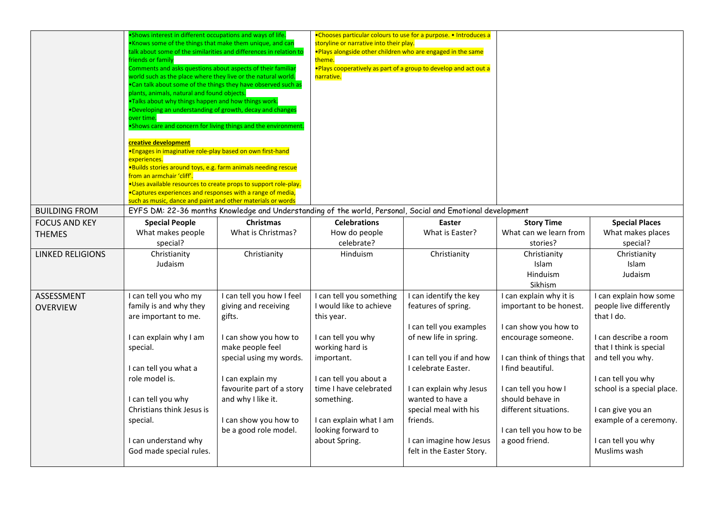| .Shows interest in different occupations and ways of life.<br>.Knows some of the things that make them unique, and can<br>talk about some of the similarities and differences in relation to<br>friends or family<br>Comments and asks questions about aspects of their familiar<br>world such as the place where they live or the natural world.<br>. Can talk about some of the things they have observed such as<br>plants, animals, natural and found objects.<br>.Talks about why things happen and how things work.<br>. Developing an understanding of growth, decay and changes<br>over time.<br>.Shows care and concern for living things and the environment.<br>creative development<br>·Engages in imaginative role-play based on own first-hand<br>experiences.<br>·Builds stories around toys, e.g. farm animals needing rescue<br>from an armchair 'cliff'.<br>·Uses available resources to create props to support role-play.<br>•Captures experiences and responses with a range of media, |                                                                                                                                                                                                                                                              |                                                                                                                                                                                                                                                              |                                                                                                                                                                                                                                                                       |                                                                                                                                                                                                                                                                         |                                                                                                                                                                                                                                                                                   |
|-------------------------------------------------------------------------------------------------------------------------------------------------------------------------------------------------------------------------------------------------------------------------------------------------------------------------------------------------------------------------------------------------------------------------------------------------------------------------------------------------------------------------------------------------------------------------------------------------------------------------------------------------------------------------------------------------------------------------------------------------------------------------------------------------------------------------------------------------------------------------------------------------------------------------------------------------------------------------------------------------------------|--------------------------------------------------------------------------------------------------------------------------------------------------------------------------------------------------------------------------------------------------------------|--------------------------------------------------------------------------------------------------------------------------------------------------------------------------------------------------------------------------------------------------------------|-----------------------------------------------------------------------------------------------------------------------------------------------------------------------------------------------------------------------------------------------------------------------|-------------------------------------------------------------------------------------------------------------------------------------------------------------------------------------------------------------------------------------------------------------------------|-----------------------------------------------------------------------------------------------------------------------------------------------------------------------------------------------------------------------------------------------------------------------------------|
|                                                                                                                                                                                                                                                                                                                                                                                                                                                                                                                                                                                                                                                                                                                                                                                                                                                                                                                                                                                                             |                                                                                                                                                                                                                                                              |                                                                                                                                                                                                                                                              |                                                                                                                                                                                                                                                                       |                                                                                                                                                                                                                                                                         | <b>Special Places</b>                                                                                                                                                                                                                                                             |
| What makes people<br>special?                                                                                                                                                                                                                                                                                                                                                                                                                                                                                                                                                                                                                                                                                                                                                                                                                                                                                                                                                                               | What is Christmas?                                                                                                                                                                                                                                           | How do people<br>celebrate?                                                                                                                                                                                                                                  | What is Easter?                                                                                                                                                                                                                                                       | What can we learn from<br>stories?                                                                                                                                                                                                                                      | What makes places<br>special?                                                                                                                                                                                                                                                     |
| Christianity<br>Judaism                                                                                                                                                                                                                                                                                                                                                                                                                                                                                                                                                                                                                                                                                                                                                                                                                                                                                                                                                                                     | Christianity                                                                                                                                                                                                                                                 | Hinduism                                                                                                                                                                                                                                                     | Christianity                                                                                                                                                                                                                                                          | Christianity<br>Islam<br>Hinduism<br>Sikhism                                                                                                                                                                                                                            | Christianity<br>Islam<br>Judaism                                                                                                                                                                                                                                                  |
| I can tell you who my<br>family is and why they<br>are important to me.<br>I can explain why I am<br>special.<br>I can tell you what a<br>role model is.<br>I can tell you why<br>Christians think Jesus is<br>special.<br>I can understand why                                                                                                                                                                                                                                                                                                                                                                                                                                                                                                                                                                                                                                                                                                                                                             | I can tell you how I feel<br>giving and receiving<br>gifts.<br>I can show you how to<br>make people feel<br>special using my words.<br>I can explain my<br>favourite part of a story<br>and why I like it.<br>I can show you how to<br>be a good role model. | I can tell you something<br>I would like to achieve<br>this year.<br>I can tell you why<br>working hard is<br>important.<br>I can tell you about a<br>time I have celebrated<br>something.<br>I can explain what I am<br>looking forward to<br>about Spring. | I can identify the key<br>features of spring.<br>I can tell you examples<br>of new life in spring.<br>I can tell you if and how<br>I celebrate Easter.<br>I can explain why Jesus<br>wanted to have a<br>special meal with his<br>friends.<br>I can imagine how Jesus | I can explain why it is<br>important to be honest.<br>I can show you how to<br>encourage someone.<br>I can think of things that<br>I find beautiful.<br>I can tell you how I<br>should behave in<br>different situations.<br>I can tell you how to be<br>a good friend. | I can explain how some<br>people live differently<br>that I do.<br>I can describe a room<br>that I think is special<br>and tell you why.<br>I can tell you why<br>school is a special place.<br>I can give you an<br>example of a ceremony.<br>I can tell you why<br>Muslims wash |
|                                                                                                                                                                                                                                                                                                                                                                                                                                                                                                                                                                                                                                                                                                                                                                                                                                                                                                                                                                                                             | <b>Special People</b><br>God made special rules.                                                                                                                                                                                                             | such as music, dance and paint and other materials or words<br><b>Christmas</b>                                                                                                                                                                              | <b>Celebrations</b>                                                                                                                                                                                                                                                   | Easter<br>felt in the Easter Story.                                                                                                                                                                                                                                     | EYFS DM: 22-36 months Knowledge and Understanding of the world, Personal, Social and Emotional development<br><b>Story Time</b>                                                                                                                                                   |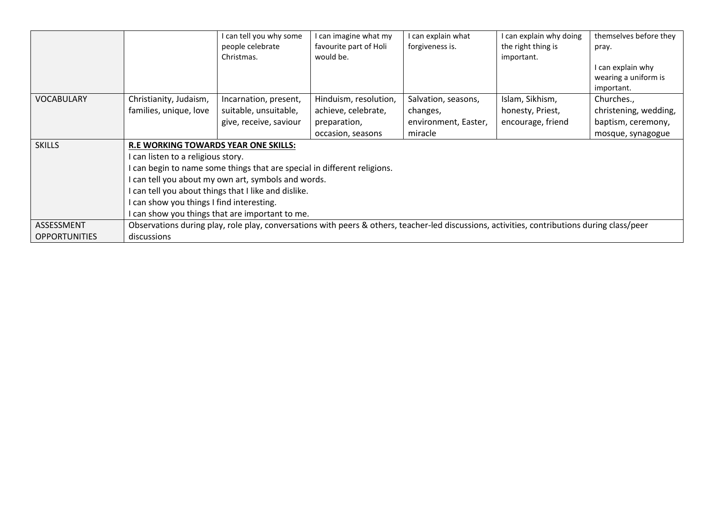|                      |                                                                                                                                              | I can tell you why some<br>people celebrate<br>Christmas.              | can imagine what my<br>favourite part of Holi<br>would be. | I can explain what<br>forgiveness is. | I can explain why doing<br>the right thing is<br>important. | themselves before they<br>pray.<br>can explain why<br>wearing a uniform is<br>important. |  |
|----------------------|----------------------------------------------------------------------------------------------------------------------------------------------|------------------------------------------------------------------------|------------------------------------------------------------|---------------------------------------|-------------------------------------------------------------|------------------------------------------------------------------------------------------|--|
| <b>VOCABULARY</b>    | Christianity, Judaism,                                                                                                                       | Incarnation, present,                                                  | Hinduism, resolution,                                      | Salvation, seasons,                   | Islam, Sikhism,                                             | Churches.,                                                                               |  |
|                      | families, unique, love                                                                                                                       | suitable, unsuitable,                                                  | achieve, celebrate,                                        | changes,                              | honesty, Priest,                                            | christening, wedding,                                                                    |  |
|                      |                                                                                                                                              | give, receive, saviour                                                 | preparation,                                               | environment, Easter,                  | encourage, friend                                           | baptism, ceremony,                                                                       |  |
|                      |                                                                                                                                              |                                                                        | occasion, seasons                                          | miracle                               |                                                             | mosque, synagogue                                                                        |  |
| <b>SKILLS</b>        | <b>R.E WORKING TOWARDS YEAR ONE SKILLS:</b>                                                                                                  |                                                                        |                                                            |                                       |                                                             |                                                                                          |  |
|                      | can listen to a religious story.                                                                                                             |                                                                        |                                                            |                                       |                                                             |                                                                                          |  |
|                      |                                                                                                                                              | can begin to name some things that are special in different religions. |                                                            |                                       |                                                             |                                                                                          |  |
|                      |                                                                                                                                              | can tell you about my own art, symbols and words.                      |                                                            |                                       |                                                             |                                                                                          |  |
|                      |                                                                                                                                              | can tell you about things that I like and dislike.                     |                                                            |                                       |                                                             |                                                                                          |  |
|                      | can show you things I find interesting.                                                                                                      |                                                                        |                                                            |                                       |                                                             |                                                                                          |  |
|                      |                                                                                                                                              | can show you things that are important to me.                          |                                                            |                                       |                                                             |                                                                                          |  |
| ASSESSMENT           | Observations during play, role play, conversations with peers & others, teacher-led discussions, activities, contributions during class/peer |                                                                        |                                                            |                                       |                                                             |                                                                                          |  |
| <b>OPPORTUNITIES</b> | discussions                                                                                                                                  |                                                                        |                                                            |                                       |                                                             |                                                                                          |  |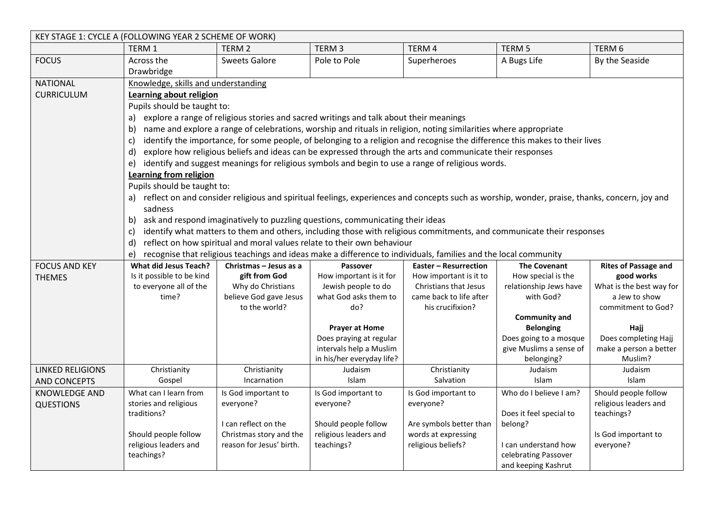| KEY STAGE 1: CYCLE A (FOLLOWING YEAR 2 SCHEME OF WORK) |                                                                                                                                             |                                                                                                                  |                                     |                              |                                                                                                                                                 |                             |  |
|--------------------------------------------------------|---------------------------------------------------------------------------------------------------------------------------------------------|------------------------------------------------------------------------------------------------------------------|-------------------------------------|------------------------------|-------------------------------------------------------------------------------------------------------------------------------------------------|-----------------------------|--|
|                                                        | TERM 1                                                                                                                                      | TERM <sub>2</sub>                                                                                                | TERM <sub>3</sub>                   | TERM 4                       | TERM <sub>5</sub>                                                                                                                               | TERM <sub>6</sub>           |  |
| <b>FOCUS</b>                                           | Across the                                                                                                                                  | <b>Sweets Galore</b>                                                                                             | Pole to Pole                        | Superheroes                  | A Bugs Life                                                                                                                                     | By the Seaside              |  |
|                                                        | Drawbridge                                                                                                                                  |                                                                                                                  |                                     |                              |                                                                                                                                                 |                             |  |
| <b>NATIONAL</b>                                        | Knowledge, skills and understanding                                                                                                         |                                                                                                                  |                                     |                              |                                                                                                                                                 |                             |  |
| <b>CURRICULUM</b>                                      | Learning about religion<br>Pupils should be taught to:                                                                                      |                                                                                                                  |                                     |                              |                                                                                                                                                 |                             |  |
|                                                        |                                                                                                                                             |                                                                                                                  |                                     |                              |                                                                                                                                                 |                             |  |
|                                                        | a)                                                                                                                                          | explore a range of religious stories and sacred writings and talk about their meanings                           |                                     |                              |                                                                                                                                                 |                             |  |
|                                                        | b)                                                                                                                                          | name and explore a range of celebrations, worship and rituals in religion, noting similarities where appropriate |                                     |                              |                                                                                                                                                 |                             |  |
|                                                        | identify the importance, for some people, of belonging to a religion and recognise the difference this makes to their lives<br>$\mathsf{C}$ |                                                                                                                  |                                     |                              |                                                                                                                                                 |                             |  |
|                                                        | d)                                                                                                                                          | explore how religious beliefs and ideas can be expressed through the arts and communicate their responses        |                                     |                              |                                                                                                                                                 |                             |  |
|                                                        | e)                                                                                                                                          | identify and suggest meanings for religious symbols and begin to use a range of religious words.                 |                                     |                              |                                                                                                                                                 |                             |  |
|                                                        | Learning from religion                                                                                                                      |                                                                                                                  |                                     |                              |                                                                                                                                                 |                             |  |
|                                                        | Pupils should be taught to:                                                                                                                 |                                                                                                                  |                                     |                              |                                                                                                                                                 |                             |  |
|                                                        |                                                                                                                                             |                                                                                                                  |                                     |                              | a) reflect on and consider religious and spiritual feelings, experiences and concepts such as worship, wonder, praise, thanks, concern, joy and |                             |  |
|                                                        | sadness                                                                                                                                     |                                                                                                                  |                                     |                              |                                                                                                                                                 |                             |  |
|                                                        |                                                                                                                                             | b) ask and respond imaginatively to puzzling questions, communicating their ideas                                |                                     |                              |                                                                                                                                                 |                             |  |
|                                                        | $\mathsf{C}$                                                                                                                                |                                                                                                                  |                                     |                              | identify what matters to them and others, including those with religious commitments, and communicate their responses                           |                             |  |
|                                                        | d)                                                                                                                                          | reflect on how spiritual and moral values relate to their own behaviour                                          |                                     |                              |                                                                                                                                                 |                             |  |
|                                                        | e)                                                                                                                                          | recognise that religious teachings and ideas make a difference to individuals, families and the local community  |                                     |                              |                                                                                                                                                 |                             |  |
| <b>FOCUS AND KEY</b>                                   | <b>What did Jesus Teach?</b>                                                                                                                | Christmas - Jesus as a                                                                                           | Passover                            | <b>Easter - Resurrection</b> | <b>The Covenant</b>                                                                                                                             | <b>Rites of Passage and</b> |  |
| <b>THEMES</b>                                          | Is it possible to be kind                                                                                                                   | gift from God                                                                                                    | How important is it for             | How important is it to       | How special is the                                                                                                                              | good works                  |  |
|                                                        | to everyone all of the                                                                                                                      | Why do Christians                                                                                                | Jewish people to do                 | Christians that Jesus        | relationship Jews have                                                                                                                          | What is the best way for    |  |
|                                                        | time?                                                                                                                                       | believe God gave Jesus                                                                                           | what God asks them to               | came back to life after      | with God?                                                                                                                                       | a Jew to show               |  |
|                                                        |                                                                                                                                             | to the world?                                                                                                    | do?                                 | his crucifixion?             | <b>Community and</b>                                                                                                                            | commitment to God?          |  |
|                                                        |                                                                                                                                             |                                                                                                                  | <b>Prayer at Home</b>               |                              | <b>Belonging</b>                                                                                                                                | Hajj                        |  |
|                                                        |                                                                                                                                             |                                                                                                                  | Does praying at regular             |                              | Does going to a mosque                                                                                                                          | Does completing Hajj        |  |
|                                                        |                                                                                                                                             |                                                                                                                  | intervals help a Muslim             |                              | give Muslims a sense of                                                                                                                         | make a person a better      |  |
|                                                        |                                                                                                                                             |                                                                                                                  | in his/her everyday life?           |                              | belonging?                                                                                                                                      | Muslim?                     |  |
| <b>LINKED RELIGIONS</b>                                | Christianity                                                                                                                                | Christianity                                                                                                     | Judaism                             | Christianity                 | Judaism                                                                                                                                         | Judaism                     |  |
| <b>AND CONCEPTS</b>                                    | Gospel                                                                                                                                      | Incarnation                                                                                                      | Islam                               | Salvation                    | Islam                                                                                                                                           | Islam                       |  |
| <b>KNOWLEDGE AND</b>                                   | What can I learn from                                                                                                                       | Is God important to                                                                                              | Is God important to                 | Is God important to          | Who do I believe I am?                                                                                                                          | Should people follow        |  |
| <b>QUESTIONS</b>                                       | stories and religious                                                                                                                       | everyone?                                                                                                        | everyone?                           | everyone?                    |                                                                                                                                                 | religious leaders and       |  |
|                                                        | traditions?                                                                                                                                 |                                                                                                                  |                                     |                              | Does it feel special to                                                                                                                         | teachings?                  |  |
|                                                        |                                                                                                                                             | I can reflect on the                                                                                             | Should people follow                | Are symbols better than      | belong?                                                                                                                                         |                             |  |
|                                                        | Should people follow<br>religious leaders and                                                                                               | Christmas story and the                                                                                          | religious leaders and<br>teachings? | words at expressing          |                                                                                                                                                 | Is God important to         |  |
|                                                        | teachings?                                                                                                                                  | reason for Jesus' birth.                                                                                         |                                     | religious beliefs?           | I can understand how<br>celebrating Passover                                                                                                    | everyone?                   |  |
|                                                        |                                                                                                                                             |                                                                                                                  |                                     |                              | and keeping Kashrut                                                                                                                             |                             |  |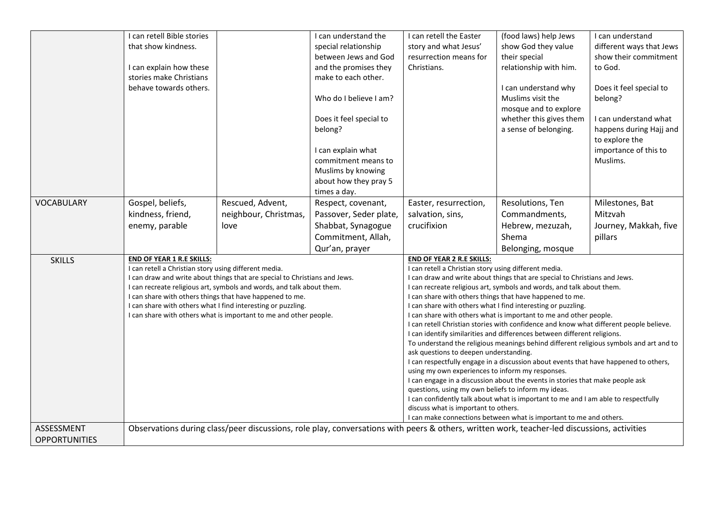|                      | I can retell Bible stories                                                                |                                                                            | I can understand the                                                                                                                        | I can retell the Easter                                                                                                             | (food laws) help Jews                                                                  | I can understand         |  |
|----------------------|-------------------------------------------------------------------------------------------|----------------------------------------------------------------------------|---------------------------------------------------------------------------------------------------------------------------------------------|-------------------------------------------------------------------------------------------------------------------------------------|----------------------------------------------------------------------------------------|--------------------------|--|
|                      | that show kindness.                                                                       |                                                                            | special relationship                                                                                                                        | story and what Jesus'                                                                                                               | show God they value                                                                    | different ways that Jews |  |
|                      |                                                                                           |                                                                            | between Jews and God                                                                                                                        | resurrection means for                                                                                                              | their special                                                                          | show their commitment    |  |
|                      | I can explain how these                                                                   |                                                                            | and the promises they                                                                                                                       | Christians.                                                                                                                         | relationship with him.                                                                 | to God.                  |  |
|                      | stories make Christians                                                                   |                                                                            | make to each other.                                                                                                                         |                                                                                                                                     |                                                                                        |                          |  |
|                      | behave towards others.                                                                    |                                                                            |                                                                                                                                             |                                                                                                                                     | I can understand why                                                                   | Does it feel special to  |  |
|                      |                                                                                           |                                                                            | Who do I believe I am?                                                                                                                      |                                                                                                                                     | Muslims visit the                                                                      | belong?                  |  |
|                      |                                                                                           |                                                                            |                                                                                                                                             |                                                                                                                                     | mosque and to explore                                                                  |                          |  |
|                      |                                                                                           |                                                                            | Does it feel special to                                                                                                                     |                                                                                                                                     | whether this gives them                                                                | I can understand what    |  |
|                      |                                                                                           |                                                                            | belong?                                                                                                                                     |                                                                                                                                     | a sense of belonging.                                                                  | happens during Hajj and  |  |
|                      |                                                                                           |                                                                            |                                                                                                                                             |                                                                                                                                     |                                                                                        | to explore the           |  |
|                      |                                                                                           |                                                                            | I can explain what                                                                                                                          |                                                                                                                                     |                                                                                        | importance of this to    |  |
|                      |                                                                                           |                                                                            | commitment means to                                                                                                                         |                                                                                                                                     |                                                                                        | Muslims.                 |  |
|                      |                                                                                           |                                                                            | Muslims by knowing                                                                                                                          |                                                                                                                                     |                                                                                        |                          |  |
|                      |                                                                                           |                                                                            | about how they pray 5                                                                                                                       |                                                                                                                                     |                                                                                        |                          |  |
|                      |                                                                                           |                                                                            | times a day.                                                                                                                                |                                                                                                                                     |                                                                                        |                          |  |
| <b>VOCABULARY</b>    | Gospel, beliefs,                                                                          | Rescued, Advent,                                                           | Respect, covenant,                                                                                                                          | Easter, resurrection,                                                                                                               | Resolutions, Ten                                                                       | Milestones, Bat          |  |
|                      | kindness, friend,                                                                         | neighbour, Christmas,                                                      | Passover, Seder plate,                                                                                                                      | salvation, sins,                                                                                                                    | Commandments,                                                                          | Mitzvah                  |  |
|                      | enemy, parable                                                                            | love                                                                       | Shabbat, Synagogue                                                                                                                          | crucifixion                                                                                                                         | Hebrew, mezuzah,                                                                       | Journey, Makkah, five    |  |
|                      |                                                                                           |                                                                            | Commitment, Allah,                                                                                                                          |                                                                                                                                     | Shema                                                                                  | pillars                  |  |
|                      |                                                                                           |                                                                            |                                                                                                                                             |                                                                                                                                     |                                                                                        |                          |  |
|                      |                                                                                           |                                                                            | Qur'an, prayer                                                                                                                              |                                                                                                                                     | Belonging, mosque                                                                      |                          |  |
| <b>SKILLS</b>        | <b>END OF YEAR 1 R.E SKILLS:</b><br>I can retell a Christian story using different media. |                                                                            |                                                                                                                                             | <b>END OF YEAR 2 R.E SKILLS:</b>                                                                                                    |                                                                                        |                          |  |
|                      |                                                                                           | I can draw and write about things that are special to Christians and Jews. |                                                                                                                                             | I can retell a Christian story using different media.<br>I can draw and write about things that are special to Christians and Jews. |                                                                                        |                          |  |
|                      |                                                                                           | I can recreate religious art, symbols and words, and talk about them.      |                                                                                                                                             | I can recreate religious art, symbols and words, and talk about them.                                                               |                                                                                        |                          |  |
|                      |                                                                                           | I can share with others things that have happened to me.                   |                                                                                                                                             |                                                                                                                                     | I can share with others things that have happened to me.                               |                          |  |
|                      |                                                                                           | I can share with others what I find interesting or puzzling.               |                                                                                                                                             |                                                                                                                                     | I can share with others what I find interesting or puzzling.                           |                          |  |
|                      |                                                                                           | I can share with others what is important to me and other people.          |                                                                                                                                             |                                                                                                                                     | I can share with others what is important to me and other people.                      |                          |  |
|                      |                                                                                           |                                                                            |                                                                                                                                             |                                                                                                                                     | I can retell Christian stories with confidence and know what different people believe. |                          |  |
|                      |                                                                                           |                                                                            |                                                                                                                                             |                                                                                                                                     | I can identify similarities and differences between different religions.               |                          |  |
|                      |                                                                                           |                                                                            |                                                                                                                                             |                                                                                                                                     | To understand the religious meanings behind different religious symbols and art and to |                          |  |
|                      |                                                                                           |                                                                            |                                                                                                                                             | ask questions to deepen understanding.                                                                                              | I can respectfully engage in a discussion about events that have happened to others,   |                          |  |
|                      |                                                                                           |                                                                            |                                                                                                                                             | using my own experiences to inform my responses.                                                                                    |                                                                                        |                          |  |
|                      |                                                                                           |                                                                            |                                                                                                                                             |                                                                                                                                     | I can engage in a discussion about the events in stories that make people ask          |                          |  |
|                      |                                                                                           |                                                                            |                                                                                                                                             | questions, using my own beliefs to inform my ideas.                                                                                 |                                                                                        |                          |  |
|                      |                                                                                           |                                                                            |                                                                                                                                             |                                                                                                                                     | I can confidently talk about what is important to me and I am able to respectfully     |                          |  |
|                      |                                                                                           |                                                                            |                                                                                                                                             | discuss what is important to others.                                                                                                |                                                                                        |                          |  |
|                      |                                                                                           |                                                                            |                                                                                                                                             |                                                                                                                                     | I can make connections between what is important to me and others.                     |                          |  |
| ASSESSMENT           |                                                                                           |                                                                            | Observations during class/peer discussions, role play, conversations with peers & others, written work, teacher-led discussions, activities |                                                                                                                                     |                                                                                        |                          |  |
| <b>OPPORTUNITIES</b> |                                                                                           |                                                                            |                                                                                                                                             |                                                                                                                                     |                                                                                        |                          |  |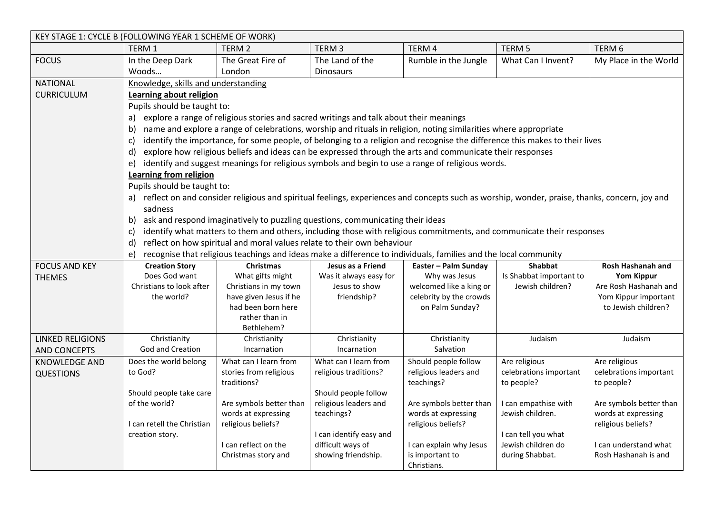| KEY STAGE 1: CYCLE B (FOLLOWING YEAR 1 SCHEME OF WORK) |                                                                                                                                       |                                                                                                                  |                         |                                                                                                                                                 |                         |                                             |  |  |
|--------------------------------------------------------|---------------------------------------------------------------------------------------------------------------------------------------|------------------------------------------------------------------------------------------------------------------|-------------------------|-------------------------------------------------------------------------------------------------------------------------------------------------|-------------------------|---------------------------------------------|--|--|
|                                                        | <b>TERM1</b>                                                                                                                          | TERM <sub>2</sub>                                                                                                | TERM <sub>3</sub>       | TERM 4                                                                                                                                          | TERM 5                  | TERM 6                                      |  |  |
| <b>FOCUS</b>                                           | In the Deep Dark                                                                                                                      | The Great Fire of                                                                                                | The Land of the         | Rumble in the Jungle                                                                                                                            | What Can I Invent?      | My Place in the World                       |  |  |
|                                                        | Woods                                                                                                                                 | London                                                                                                           | <b>Dinosaurs</b>        |                                                                                                                                                 |                         |                                             |  |  |
| <b>NATIONAL</b>                                        | Knowledge, skills and understanding                                                                                                   |                                                                                                                  |                         |                                                                                                                                                 |                         |                                             |  |  |
| <b>CURRICULUM</b>                                      | Learning about religion                                                                                                               |                                                                                                                  |                         |                                                                                                                                                 |                         |                                             |  |  |
|                                                        | Pupils should be taught to:                                                                                                           |                                                                                                                  |                         |                                                                                                                                                 |                         |                                             |  |  |
|                                                        | a)                                                                                                                                    | explore a range of religious stories and sacred writings and talk about their meanings                           |                         |                                                                                                                                                 |                         |                                             |  |  |
|                                                        | b)                                                                                                                                    | name and explore a range of celebrations, worship and rituals in religion, noting similarities where appropriate |                         |                                                                                                                                                 |                         |                                             |  |  |
|                                                        | c)                                                                                                                                    |                                                                                                                  |                         | identify the importance, for some people, of belonging to a religion and recognise the difference this makes to their lives                     |                         |                                             |  |  |
|                                                        | d)                                                                                                                                    |                                                                                                                  |                         | explore how religious beliefs and ideas can be expressed through the arts and communicate their responses                                       |                         |                                             |  |  |
|                                                        | e)                                                                                                                                    |                                                                                                                  |                         | identify and suggest meanings for religious symbols and begin to use a range of religious words.                                                |                         |                                             |  |  |
|                                                        | Learning from religion                                                                                                                |                                                                                                                  |                         |                                                                                                                                                 |                         |                                             |  |  |
|                                                        | Pupils should be taught to:                                                                                                           |                                                                                                                  |                         |                                                                                                                                                 |                         |                                             |  |  |
|                                                        |                                                                                                                                       |                                                                                                                  |                         | a) reflect on and consider religious and spiritual feelings, experiences and concepts such as worship, wonder, praise, thanks, concern, joy and |                         |                                             |  |  |
|                                                        | sadness                                                                                                                               |                                                                                                                  |                         |                                                                                                                                                 |                         |                                             |  |  |
|                                                        | b)                                                                                                                                    | ask and respond imaginatively to puzzling questions, communicating their ideas                                   |                         |                                                                                                                                                 |                         |                                             |  |  |
|                                                        | identify what matters to them and others, including those with religious commitments, and communicate their responses<br>$\mathsf{C}$ |                                                                                                                  |                         |                                                                                                                                                 |                         |                                             |  |  |
|                                                        | reflect on how spiritual and moral values relate to their own behaviour<br>d)                                                         |                                                                                                                  |                         |                                                                                                                                                 |                         |                                             |  |  |
|                                                        | e)                                                                                                                                    | recognise that religious teachings and ideas make a difference to individuals, families and the local community  |                         |                                                                                                                                                 |                         |                                             |  |  |
| <b>FOCUS AND KEY</b>                                   | <b>Creation Story</b>                                                                                                                 | <b>Christmas</b>                                                                                                 | Jesus as a Friend       | Easter - Palm Sunday                                                                                                                            | <b>Shabbat</b>          | <b>Rosh Hashanah and</b>                    |  |  |
| <b>THEMES</b>                                          | Does God want                                                                                                                         | What gifts might                                                                                                 | Was it always easy for  | Why was Jesus                                                                                                                                   | Is Shabbat important to | <b>Yom Kippur</b>                           |  |  |
|                                                        | Christians to look after                                                                                                              | Christians in my town                                                                                            | Jesus to show           | welcomed like a king or                                                                                                                         | Jewish children?        | Are Rosh Hashanah and                       |  |  |
|                                                        | the world?                                                                                                                            | have given Jesus if he<br>had been born here                                                                     | friendship?             | celebrity by the crowds<br>on Palm Sunday?                                                                                                      |                         | Yom Kippur important<br>to Jewish children? |  |  |
|                                                        |                                                                                                                                       | rather than in                                                                                                   |                         |                                                                                                                                                 |                         |                                             |  |  |
|                                                        |                                                                                                                                       | Bethlehem?                                                                                                       |                         |                                                                                                                                                 |                         |                                             |  |  |
| <b>LINKED RELIGIONS</b>                                | Christianity                                                                                                                          | Christianity                                                                                                     | Christianity            | Christianity                                                                                                                                    | Judaism                 | Judaism                                     |  |  |
| <b>AND CONCEPTS</b>                                    | <b>God and Creation</b>                                                                                                               | Incarnation                                                                                                      | Incarnation             | Salvation                                                                                                                                       |                         |                                             |  |  |
| <b>KNOWLEDGE AND</b>                                   | Does the world belong                                                                                                                 | What can I learn from                                                                                            | What can I learn from   | Should people follow                                                                                                                            | Are religious           | Are religious                               |  |  |
| <b>QUESTIONS</b>                                       | to God?                                                                                                                               | stories from religious                                                                                           | religious traditions?   | religious leaders and                                                                                                                           | celebrations important  | celebrations important                      |  |  |
|                                                        |                                                                                                                                       | traditions?                                                                                                      |                         | teachings?                                                                                                                                      | to people?              | to people?                                  |  |  |
|                                                        | Should people take care                                                                                                               |                                                                                                                  | Should people follow    |                                                                                                                                                 |                         |                                             |  |  |
|                                                        | of the world?                                                                                                                         | Are symbols better than                                                                                          | religious leaders and   | Are symbols better than                                                                                                                         | I can empathise with    | Are symbols better than                     |  |  |
|                                                        | I can retell the Christian                                                                                                            | words at expressing<br>religious beliefs?                                                                        | teachings?              | words at expressing<br>religious beliefs?                                                                                                       | Jewish children.        | words at expressing<br>religious beliefs?   |  |  |
|                                                        | creation story.                                                                                                                       |                                                                                                                  | I can identify easy and |                                                                                                                                                 | I can tell you what     |                                             |  |  |
|                                                        |                                                                                                                                       | I can reflect on the                                                                                             | difficult ways of       | I can explain why Jesus                                                                                                                         | Jewish children do      | I can understand what                       |  |  |
|                                                        |                                                                                                                                       | Christmas story and                                                                                              | showing friendship.     | is important to                                                                                                                                 | during Shabbat.         | Rosh Hashanah is and                        |  |  |
|                                                        |                                                                                                                                       |                                                                                                                  |                         | Christians.                                                                                                                                     |                         |                                             |  |  |